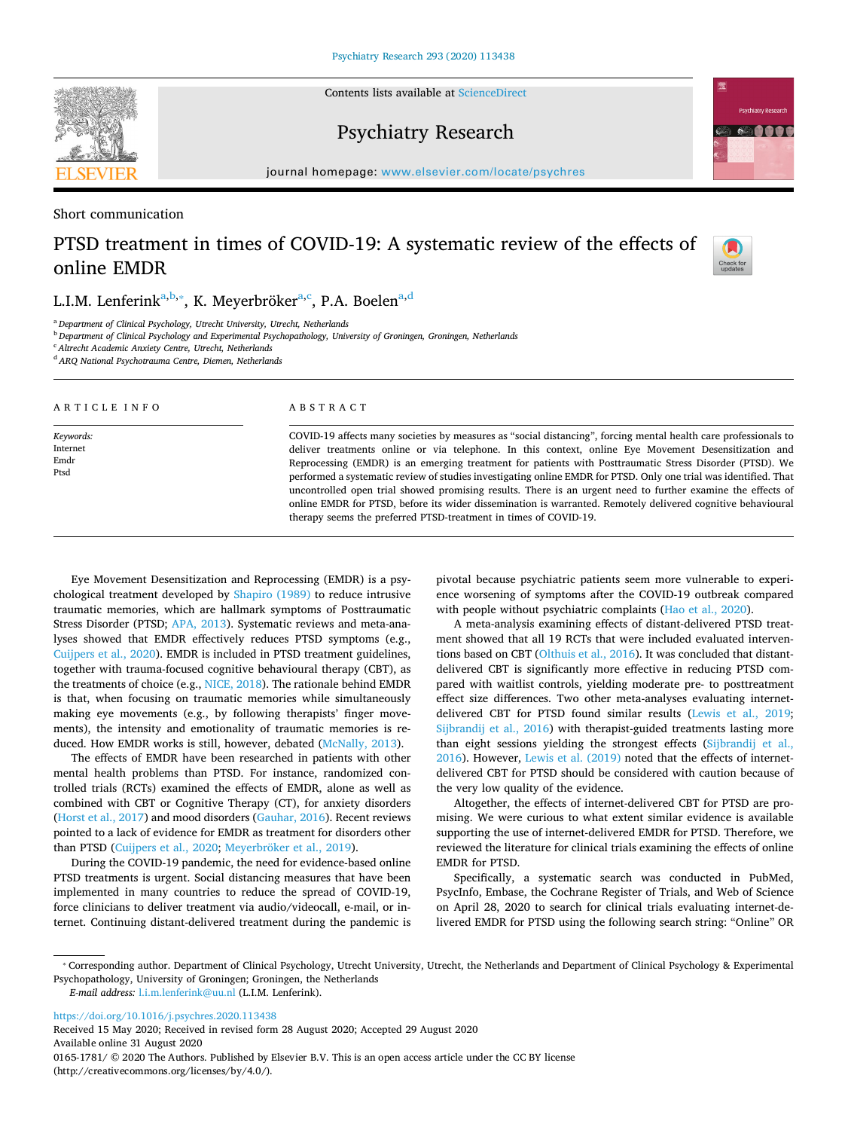Contents lists available at [ScienceDirect](http://www.sciencedirect.com/science/journal/01651781)

## Psychiatry Research

journal homepage: [www.elsevier.com/locate/psychres](https://www.elsevier.com/locate/psychres)

Short communication

# PTSD treatment in times of COVID-19: A systematic review of the effects of online EMDR



<span id="page-0-0"></span><sup>a</sup> *Department of Clinical Psychology, Utrecht University, Utrecht, Netherlands*

<span id="page-0-1"></span><sup>b</sup> *Department of Clinical Psychology and Experimental Psychopathology, University of Groningen, Groningen, Netherlands*

<span id="page-0-3"></span><sup>c</sup> *Altrecht Academic Anxiety Centre, Utrecht, Netherlands*

<span id="page-0-4"></span><sup>d</sup> *ARQ National Psychotrauma Centre, Diemen, Netherlands*

| ARTICLE INFO                          | ABSTRACT                                                                                                                                                                                                                                                                                                                                                                                                                                                                                                                                                                                                                                                                                                                                                 |
|---------------------------------------|----------------------------------------------------------------------------------------------------------------------------------------------------------------------------------------------------------------------------------------------------------------------------------------------------------------------------------------------------------------------------------------------------------------------------------------------------------------------------------------------------------------------------------------------------------------------------------------------------------------------------------------------------------------------------------------------------------------------------------------------------------|
| Keywords:<br>Internet<br>Emdr<br>Ptsd | COVID-19 affects many societies by measures as "social distancing", forcing mental health care professionals to<br>deliver treatments online or via telephone. In this context, online Eye Movement Desensitization and<br>Reprocessing (EMDR) is an emerging treatment for patients with Posttraumatic Stress Disorder (PTSD). We<br>performed a systematic review of studies investigating online EMDR for PTSD. Only one trial was identified. That<br>uncontrolled open trial showed promising results. There is an urgent need to further examine the effects of<br>online EMDR for PTSD, before its wider dissemination is warranted. Remotely delivered cognitive behavioural<br>therapy seems the preferred PTSD-treatment in times of COVID-19. |

Eye Movement Desensitization and Reprocessing (EMDR) is a psychological treatment developed by [Shapiro \(1989\)](#page-2-0) to reduce intrusive traumatic memories, which are hallmark symptoms of Posttraumatic Stress Disorder (PTSD; [APA, 2013](#page-1-0)). Systematic reviews and meta-analyses showed that EMDR effectively reduces PTSD symptoms (e.g., [Cuijpers et al., 2020](#page-1-1)). EMDR is included in PTSD treatment guidelines, together with trauma-focused cognitive behavioural therapy (CBT), as the treatments of choice (e.g., [NICE, 2018](#page-2-1)). The rationale behind EMDR is that, when focusing on traumatic memories while simultaneously making eye movements (e.g., by following therapists' finger movements), the intensity and emotionality of traumatic memories is reduced. How EMDR works is still, however, debated ([McNally, 2013\)](#page-2-2).

The effects of EMDR have been researched in patients with other mental health problems than PTSD. For instance, randomized controlled trials (RCTs) examined the effects of EMDR, alone as well as combined with CBT or Cognitive Therapy (CT), for anxiety disorders ([Horst et al., 2017](#page-2-3)) and mood disorders ([Gauhar, 2016\)](#page-2-4). Recent reviews pointed to a lack of evidence for EMDR as treatment for disorders other than PTSD ([Cuijpers et al., 2020](#page-1-1); [Meyerbröker et al., 2019\)](#page-2-5).

During the COVID-19 pandemic, the need for evidence-based online PTSD treatments is urgent. Social distancing measures that have been implemented in many countries to reduce the spread of COVID-19, force clinicians to deliver treatment via audio/videocall, e-mail, or internet. Continuing distant-delivered treatment during the pandemic is pivotal because psychiatric patients seem more vulnerable to experience worsening of symptoms after the COVID-19 outbreak compared with people without psychiatric complaints ([Hao et al., 2020\)](#page-2-6).

A meta-analysis examining effects of distant-delivered PTSD treatment showed that all 19 RCTs that were included evaluated interventions based on CBT ([Olthuis et al., 2016](#page-2-7)). It was concluded that distantdelivered CBT is significantly more effective in reducing PTSD compared with waitlist controls, yielding moderate pre- to posttreatment effect size differences. Two other meta-analyses evaluating internetdelivered CBT for PTSD found similar results [\(Lewis et al., 2019](#page-2-8); [Sijbrandij et al., 2016\)](#page-2-9) with therapist-guided treatments lasting more than eight sessions yielding the strongest effects ([Sijbrandij et al.,](#page-2-9) [2016\)](#page-2-9). However, [Lewis et al. \(2019\)](#page-2-8) noted that the effects of internetdelivered CBT for PTSD should be considered with caution because of the very low quality of the evidence.

Altogether, the effects of internet-delivered CBT for PTSD are promising. We were curious to what extent similar evidence is available supporting the use of internet-delivered EMDR for PTSD. Therefore, we reviewed the literature for clinical trials examining the effects of online EMDR for PTSD.

Specifically, a systematic search was conducted in PubMed, PsycInfo, Embase, the Cochrane Register of Trials, and Web of Science on April 28, 2020 to search for clinical trials evaluating internet-delivered EMDR for PTSD using the following search string: "Online" OR

<https://doi.org/10.1016/j.psychres.2020.113438>

Received 15 May 2020; Received in revised form 28 August 2020; Accepted 29 August 2020

Available online 31 August 2020





Check for<br>updates

<span id="page-0-2"></span><sup>⁎</sup> Corresponding author. Department of Clinical Psychology, Utrecht University, Utrecht, the Netherlands and Department of Clinical Psychology & Experimental Psychopathology, University of Groningen; Groningen, the Netherlands

*E-mail address:* [l.i.m.lenferink@uu.nl](mailto:l.i.m.lenferink@uu.nl) (L.I.M. Lenferink).

<sup>0165-1781/ © 2020</sup> The Authors. Published by Elsevier B.V. This is an open access article under the CC BY license (http://creativecommons.org/licenses/by/4.0/).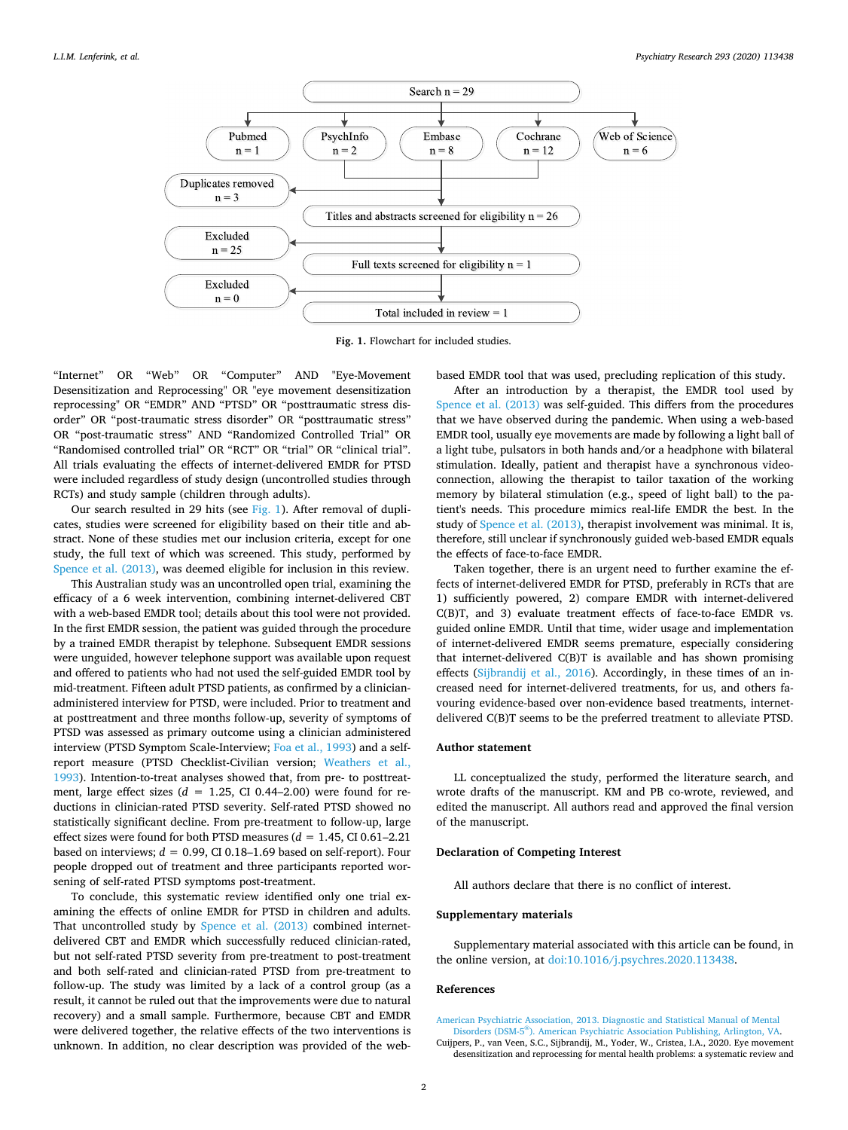<span id="page-1-2"></span>

**Fig. 1.** Flowchart for included studies.

"Internet" OR "Web" OR "Computer" AND "Eye-Movement Desensitization and Reprocessing" OR "eye movement desensitization reprocessing" OR "EMDR" AND "PTSD" OR "posttraumatic stress disorder" OR "post-traumatic stress disorder" OR "posttraumatic stress" OR "post-traumatic stress" AND "Randomized Controlled Trial" OR "Randomised controlled trial" OR "RCT" OR "trial" OR "clinical trial". All trials evaluating the effects of internet-delivered EMDR for PTSD were included regardless of study design (uncontrolled studies through RCTs) and study sample (children through adults).

Our search resulted in 29 hits (see [Fig. 1\)](#page-1-2). After removal of duplicates, studies were screened for eligibility based on their title and abstract. None of these studies met our inclusion criteria, except for one study, the full text of which was screened. This study, performed by [Spence et al. \(2013\)](#page-2-10), was deemed eligible for inclusion in this review.

This Australian study was an uncontrolled open trial, examining the efficacy of a 6 week intervention, combining internet-delivered CBT with a web-based EMDR tool; details about this tool were not provided. In the first EMDR session, the patient was guided through the procedure by a trained EMDR therapist by telephone. Subsequent EMDR sessions were unguided, however telephone support was available upon request and offered to patients who had not used the self-guided EMDR tool by mid-treatment. Fifteen adult PTSD patients, as confirmed by a clinicianadministered interview for PTSD, were included. Prior to treatment and at posttreatment and three months follow-up, severity of symptoms of PTSD was assessed as primary outcome using a clinician administered interview (PTSD Symptom Scale-Interview; [Foa et al., 1993](#page-2-11)) and a selfreport measure (PTSD Checklist-Civilian version; [Weathers et al.,](#page-2-12) [1993\)](#page-2-12). Intention-to-treat analyses showed that, from pre- to posttreatment, large effect sizes  $(d = 1.25, CI\ 0.44-2.00)$  were found for reductions in clinician-rated PTSD severity. Self-rated PTSD showed no statistically significant decline. From pre-treatment to follow-up, large effect sizes were found for both PTSD measures  $(d = 1.45, CI\ 0.61-2.21)$ based on interviews;  $d = 0.99$ , CI 0.18–1.69 based on self-report). Four people dropped out of treatment and three participants reported worsening of self-rated PTSD symptoms post-treatment.

To conclude, this systematic review identified only one trial examining the effects of online EMDR for PTSD in children and adults. That uncontrolled study by [Spence et al. \(2013\)](#page-2-10) combined internetdelivered CBT and EMDR which successfully reduced clinician-rated, but not self-rated PTSD severity from pre-treatment to post-treatment and both self-rated and clinician-rated PTSD from pre-treatment to follow-up. The study was limited by a lack of a control group (as a result, it cannot be ruled out that the improvements were due to natural recovery) and a small sample. Furthermore, because CBT and EMDR were delivered together, the relative effects of the two interventions is unknown. In addition, no clear description was provided of the webbased EMDR tool that was used, precluding replication of this study.

After an introduction by a therapist, the EMDR tool used by [Spence et al. \(2013\)](#page-2-10) was self-guided. This differs from the procedures that we have observed during the pandemic. When using a web-based EMDR tool, usually eye movements are made by following a light ball of a light tube, pulsators in both hands and/or a headphone with bilateral stimulation. Ideally, patient and therapist have a synchronous videoconnection, allowing the therapist to tailor taxation of the working memory by bilateral stimulation (e.g., speed of light ball) to the patient's needs. This procedure mimics real-life EMDR the best. In the study of [Spence et al. \(2013\)](#page-2-10), therapist involvement was minimal. It is, therefore, still unclear if synchronously guided web-based EMDR equals the effects of face-to-face EMDR.

Taken together, there is an urgent need to further examine the effects of internet-delivered EMDR for PTSD, preferably in RCTs that are 1) sufficiently powered, 2) compare EMDR with internet-delivered C(B)T, and 3) evaluate treatment effects of face-to-face EMDR vs. guided online EMDR. Until that time, wider usage and implementation of internet-delivered EMDR seems premature, especially considering that internet-delivered C(B)T is available and has shown promising effects ([Sijbrandij et al., 2016](#page-2-9)). Accordingly, in these times of an increased need for internet-delivered treatments, for us, and others favouring evidence-based over non-evidence based treatments, internetdelivered C(B)T seems to be the preferred treatment to alleviate PTSD.

#### **Author statement**

LL conceptualized the study, performed the literature search, and wrote drafts of the manuscript. KM and PB co-wrote, reviewed, and edited the manuscript. All authors read and approved the final version of the manuscript.

### **Declaration of Competing Interest**

All authors declare that there is no conflict of interest.

### **Supplementary materials**

Supplementary material associated with this article can be found, in the online version, at [doi:10.1016/j.psychres.2020.113438.](https://doi.org/10.1016/j.psychres.2020.113438)

#### **References**

<span id="page-1-0"></span>[American Psychiatric Association, 2013. Diagnostic and Statistical Manual of Mental](http://refhub.elsevier.com/S0165-1781(20)31459-1/sbref0001) Disorders (DSM-5Ⓡ[\). American Psychiatric Association Publishing, Arlington, VA.](http://refhub.elsevier.com/S0165-1781(20)31459-1/sbref0001)

<span id="page-1-1"></span>Cuijpers, P., van Veen, S.C., Sijbrandij, M., Yoder, W., Cristea, I.A., 2020. Eye movement desensitization and reprocessing for mental health problems: a systematic review and